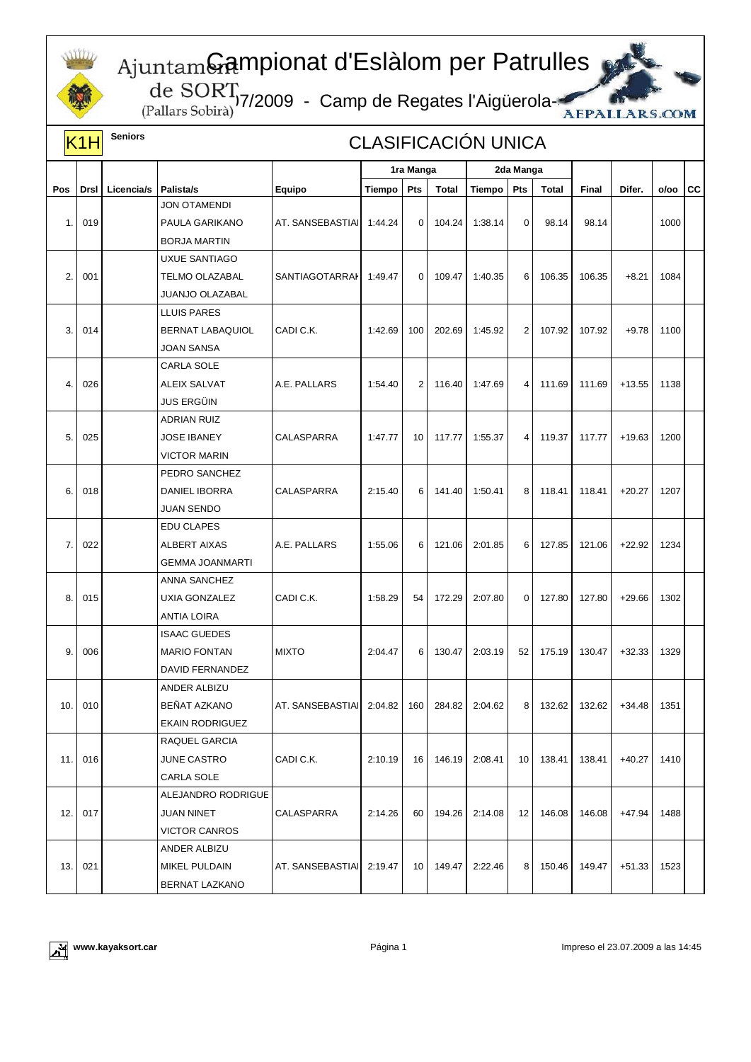

## Gampionat d'Eslàlom per Patrulles

,17/2009 - Camp de Regates l'Aigüerola-



| K1H  |      | <b>Seniors</b> | <b>CLASIFICACIÓN UNICA</b> |                  |           |             |        |           |                |        |              |          |      |     |
|------|------|----------------|----------------------------|------------------|-----------|-------------|--------|-----------|----------------|--------|--------------|----------|------|-----|
|      |      |                |                            |                  | 1ra Manga |             |        | 2da Manga |                |        |              |          |      |     |
| Pos  | Drsl | Licencia/s     | Palista/s                  | Equipo           | Tiempo    | Pts         | Total  | Tiempo    | Pts            | Total  | <b>Final</b> | Difer.   | o/oo | lcc |
|      |      |                | <b>JON OTAMENDI</b>        |                  |           |             |        |           |                |        |              |          |      |     |
| 1.   | 019  |                | PAULA GARIKANO             | AT. SANSEBASTIAI | 1:44.24   | $\mathbf 0$ | 104.24 | 1:38.14   | $\mathbf 0$    | 98.14  | 98.14        |          | 1000 |     |
|      |      |                | <b>BORJA MARTIN</b>        |                  |           |             |        |           |                |        |              |          |      |     |
| 2.   | 001  |                | <b>UXUE SANTIAGO</b>       | SANTIAGOTARRAI   | 1:49.47   | $\mathbf 0$ | 109.47 | 1:40.35   | 6              | 106.35 | 106.35       | $+8.21$  | 1084 |     |
|      |      |                | <b>TELMO OLAZABAL</b>      |                  |           |             |        |           |                |        |              |          |      |     |
|      |      |                | JUANJO OLAZABAL            |                  |           |             |        |           |                |        |              |          |      |     |
| 3.   | 014  |                | <b>LLUIS PARES</b>         | CADI C.K.        | 1:42.69   | 100         | 202.69 | 1:45.92   | $\overline{2}$ | 107.92 | 107.92       | $+9.78$  | 1100 |     |
|      |      |                | BERNAT LABAQUIOL           |                  |           |             |        |           |                |        |              |          |      |     |
|      |      |                | <b>JOAN SANSA</b>          |                  |           |             |        |           |                |        |              |          |      |     |
|      |      |                | <b>CARLA SOLE</b>          |                  |           |             |        |           |                |        |              |          |      |     |
| 4.   | 026  |                | <b>ALEIX SALVAT</b>        | A.E. PALLARS     | 1:54.40   | 2           | 116.40 | 1:47.69   | 4              | 111.69 | 111.69       | $+13.55$ | 1138 |     |
|      |      |                | <b>JUS ERGÜIN</b>          |                  |           |             |        |           |                |        |              |          |      |     |
|      |      |                | <b>ADRIAN RUIZ</b>         |                  |           |             |        |           |                |        |              |          |      |     |
| 5.   | 025  |                | <b>JOSE IBANEY</b>         | CALASPARRA       | 1:47.77   | 10          | 117.77 | 1:55.37   | $\overline{4}$ | 119.37 | 117.77       | $+19.63$ | 1200 |     |
|      |      |                | <b>VICTOR MARIN</b>        |                  |           |             |        |           |                |        |              |          |      |     |
|      |      |                | PEDRO SANCHEZ              |                  |           |             |        |           |                |        |              |          |      |     |
| 6.   | 018  |                | DANIEL IBORRA              | CALASPARRA       | 2:15.40   | 6           | 141.40 | 1:50.41   | 8              | 118.41 | 118.41       | $+20.27$ | 1207 |     |
|      |      |                | <b>JUAN SENDO</b>          |                  |           |             |        |           |                |        |              |          |      |     |
|      |      |                | <b>EDU CLAPES</b>          |                  |           |             |        |           |                |        |              |          |      |     |
| 7.   | 022  |                | <b>ALBERT AIXAS</b>        | A.E. PALLARS     | 1:55.06   | 6           | 121.06 | 2:01.85   | 6              | 127.85 | 121.06       | $+22.92$ | 1234 |     |
|      |      |                | <b>GEMMA JOANMARTI</b>     |                  |           |             |        |           |                |        |              |          |      |     |
|      |      |                | ANNA SANCHEZ               |                  |           |             |        |           |                |        |              |          |      |     |
| 8.   | 015  |                | UXIA GONZALEZ              | CADI C.K.        | 1:58.29   | 54          | 172.29 | 2:07.80   | 0              | 127.80 | 127.80       | $+29.66$ | 1302 |     |
|      |      |                | <b>ANTIA LOIRA</b>         |                  |           |             |        |           |                |        |              |          |      |     |
|      |      |                | <b>ISAAC GUEDES</b>        |                  |           |             |        |           |                |        |              |          |      |     |
| 9.   | 006  |                | <b>MARIO FONTAN</b>        | <b>MIXTO</b>     | 2:04.47   | 6           | 130.47 | 2:03.19   | 52             | 175.19 | 130.47       | $+32.33$ | 1329 |     |
|      |      |                | DAVID FERNANDEZ            |                  |           |             |        |           |                |        |              |          |      |     |
| 10.  | 010  |                | ANDER ALBIZU               | AT. SANSEBASTIAI | 2:04.82   | 160         | 284.82 | 2:04.62   | 8              | 132.62 | 132.62       | $+34.48$ | 1351 |     |
|      |      |                | BEÑAT AZKANO               |                  |           |             |        |           |                |        |              |          |      |     |
|      |      |                | <b>EKAIN RODRIGUEZ</b>     |                  |           |             |        |           |                |        |              |          |      |     |
| 11.1 |      |                | RAQUEL GARCIA              |                  |           |             |        |           |                |        |              |          |      |     |
|      | 016  |                | JUNE CASTRO                | CADI C.K.        | 2:10.19   | 16          | 146.19 | 2:08.41   | 10             | 138.41 | 138.41       | $+40.27$ | 1410 |     |
|      |      |                | CARLA SOLE                 |                  |           |             |        |           |                |        |              |          |      |     |
|      |      |                | ALEJANDRO RODRIGUE         |                  |           |             |        |           |                |        |              |          |      |     |
| 12.  | 017  |                | <b>JUAN NINET</b>          | CALASPARRA       | 2:14.26   | 60          | 194.26 | 2:14.08   | 12             | 146.08 | 146.08       | +47.94   | 1488 |     |
|      |      |                | <b>VICTOR CANROS</b>       |                  |           |             |        |           |                |        |              |          |      |     |
|      |      |                | ANDER ALBIZU               |                  |           |             |        |           |                |        |              |          |      |     |
| 13.  | 021  |                | MIKEL PULDAIN              | AT. SANSEBASTIAI | 2:19.47   | 10          | 149.47 | 2:22.46   | 8              | 150.46 | 149.47       | $+51.33$ | 1523 |     |
|      |      |                | BERNAT LAZKANO             |                  |           |             |        |           |                |        |              |          |      |     |